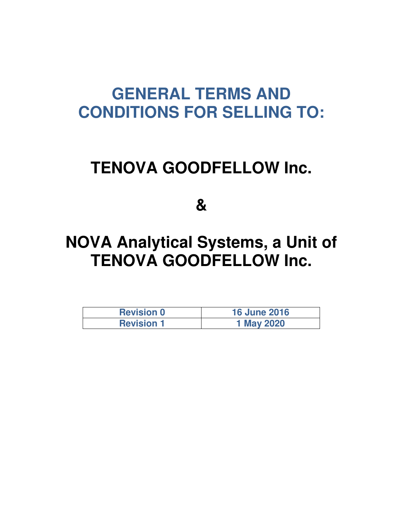# **GENERAL TERMS AND CONDITIONS FOR SELLING TO:**

# **TENOVA GOODFELLOW Inc.**

**&** 

# **NOVA Analytical Systems, a Unit of TENOVA GOODFELLOW Inc.**

| <b>Revision 0</b> | <b>16 June 2016</b> |
|-------------------|---------------------|
| <b>Revision 1</b> | 1 May 2020          |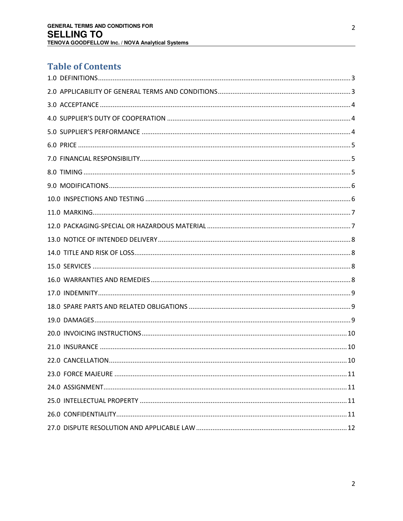# **Table of Contents**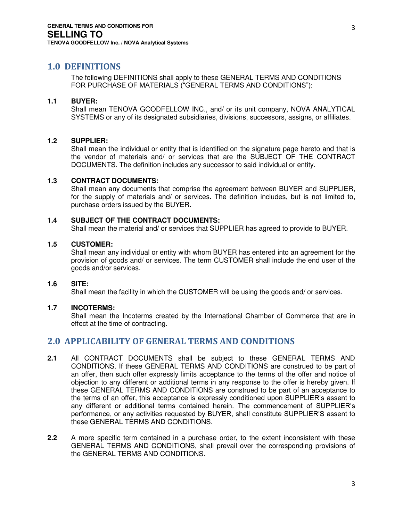## <span id="page-2-0"></span>**1.0 DEFINITIONS**

The following DEFINITIONS shall apply to these GENERAL TERMS AND CONDITIONS FOR PURCHASE OF MATERIALS ("GENERAL TERMS AND CONDITIONS"):

#### **1.1 BUYER:**

Shall mean TENOVA GOODFELLOW INC., and/ or its unit company, NOVA ANALYTICAL SYSTEMS or any of its designated subsidiaries, divisions, successors, assigns, or affiliates.

#### **1.2 SUPPLIER:**

Shall mean the individual or entity that is identified on the signature page hereto and that is the vendor of materials and/ or services that are the SUBJECT OF THE CONTRACT DOCUMENTS. The definition includes any successor to said individual or entity.

#### **1.3 CONTRACT DOCUMENTS:**

Shall mean any documents that comprise the agreement between BUYER and SUPPLIER, for the supply of materials and/ or services. The definition includes, but is not limited to, purchase orders issued by the BUYER.

#### **1.4 SUBJECT OF THE CONTRACT DOCUMENTS:**

Shall mean the material and/ or services that SUPPLIER has agreed to provide to BUYER.

#### **1.5 CUSTOMER:**

Shall mean any individual or entity with whom BUYER has entered into an agreement for the provision of goods and/ or services. The term CUSTOMER shall include the end user of the goods and/or services.

#### **1.6 SITE:**

Shall mean the facility in which the CUSTOMER will be using the goods and/ or services.

#### **1.7 INCOTERMS:**

Shall mean the Incoterms created by the International Chamber of Commerce that are in effect at the time of contracting.

# <span id="page-2-1"></span>**2.0 APPLICABILITY OF GENERAL TERMS AND CONDITIONS**

- **2.1** All CONTRACT DOCUMENTS shall be subject to these GENERAL TERMS AND CONDITIONS. If these GENERAL TERMS AND CONDITIONS are construed to be part of an offer, then such offer expressly limits acceptance to the terms of the offer and notice of objection to any different or additional terms in any response to the offer is hereby given. If these GENERAL TERMS AND CONDITIONS are construed to be part of an acceptance to the terms of an offer, this acceptance is expressly conditioned upon SUPPLIER's assent to any different or additional terms contained herein. The commencement of SUPPLIER's performance, or any activities requested by BUYER, shall constitute SUPPLIER'S assent to these GENERAL TERMS AND CONDITIONS.
- **2.2** A more specific term contained in a purchase order, to the extent inconsistent with these GENERAL TERMS AND CONDITIONS, shall prevail over the corresponding provisions of the GENERAL TERMS AND CONDITIONS.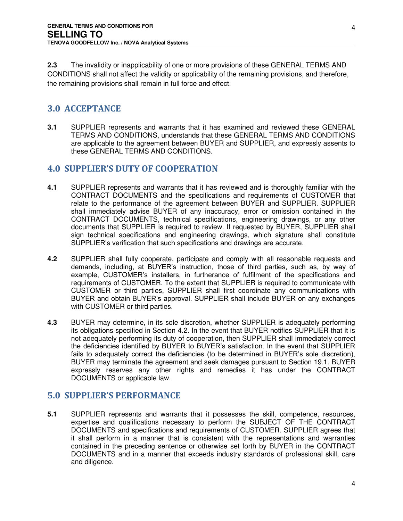**2.3** The invalidity or inapplicability of one or more provisions of these GENERAL TERMS AND CONDITIONS shall not affect the validity or applicability of the remaining provisions, and therefore, the remaining provisions shall remain in full force and effect.

# <span id="page-3-0"></span>**3.0 ACCEPTANCE**

**3.1** SUPPLIER represents and warrants that it has examined and reviewed these GENERAL TERMS AND CONDITIONS, understands that these GENERAL TERMS AND CONDITIONS are applicable to the agreement between BUYER and SUPPLIER, and expressly assents to these GENERAL TERMS AND CONDITIONS.

# <span id="page-3-1"></span>**4.0 SUPPLIER'S DUTY OF COOPERATION**

- **4.1** SUPPLIER represents and warrants that it has reviewed and is thoroughly familiar with the CONTRACT DOCUMENTS and the specifications and requirements of CUSTOMER that relate to the performance of the agreement between BUYER and SUPPLIER. SUPPLIER shall immediately advise BUYER of any inaccuracy, error or omission contained in the CONTRACT DOCUMENTS, technical specifications, engineering drawings, or any other documents that SUPPLIER is required to review. If requested by BUYER, SUPPLIER shall sign technical specifications and engineering drawings, which signature shall constitute SUPPLIER's verification that such specifications and drawings are accurate.
- **4.2** SUPPLIER shall fully cooperate, participate and comply with all reasonable requests and demands, including, at BUYER's instruction, those of third parties, such as, by way of example, CUSTOMER's installers, in furtherance of fulfilment of the specifications and requirements of CUSTOMER. To the extent that SUPPLIER is required to communicate with CUSTOMER or third parties, SUPPLIER shall first coordinate any communications with BUYER and obtain BUYER's approval. SUPPLIER shall include BUYER on any exchanges with CUSTOMER or third parties.
- **4.3** BUYER may determine, in its sole discretion, whether SUPPLIER is adequately performing its obligations specified in Section 4.2. In the event that BUYER notifies SUPPLIER that it is not adequately performing its duty of cooperation, then SUPPLIER shall immediately correct the deficiencies identified by BUYER to BUYER's satisfaction. In the event that SUPPLIER fails to adequately correct the deficiencies (to be determined in BUYER's sole discretion), BUYER may terminate the agreement and seek damages pursuant to Section 19.1. BUYER expressly reserves any other rights and remedies it has under the CONTRACT DOCUMENTS or applicable law.

# <span id="page-3-2"></span>**5.0 SUPPLIER'S PERFORMANCE**

**5.1** SUPPLIER represents and warrants that it possesses the skill, competence, resources, expertise and qualifications necessary to perform the SUBJECT OF THE CONTRACT DOCUMENTS and specifications and requirements of CUSTOMER. SUPPLIER agrees that it shall perform in a manner that is consistent with the representations and warranties contained in the preceding sentence or otherwise set forth by BUYER in the CONTRACT DOCUMENTS and in a manner that exceeds industry standards of professional skill, care and diligence.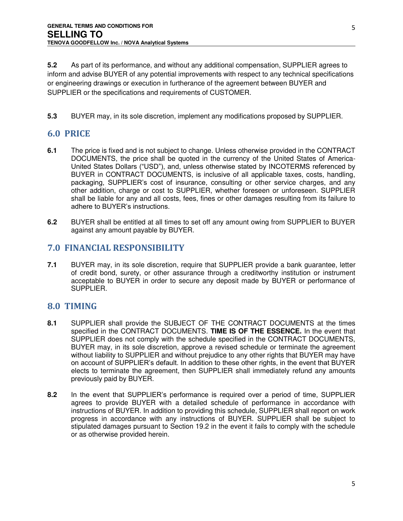**5.2** As part of its performance, and without any additional compensation, SUPPLIER agrees to inform and advise BUYER of any potential improvements with respect to any technical specifications or engineering drawings or execution in furtherance of the agreement between BUYER and SUPPLIER or the specifications and requirements of CUSTOMER.

**5.3** BUYER may, in its sole discretion, implement any modifications proposed by SUPPLIER.

# <span id="page-4-0"></span>**6.0 PRICE**

- **6.1** The price is fixed and is not subject to change. Unless otherwise provided in the CONTRACT DOCUMENTS, the price shall be quoted in the currency of the United States of America-United States Dollars ("USD"), and, unless otherwise stated by INCOTERMS referenced by BUYER in CONTRACT DOCUMENTS, is inclusive of all applicable taxes, costs, handling, packaging, SUPPLIER's cost of insurance, consulting or other service charges, and any other addition, charge or cost to SUPPLIER, whether foreseen or unforeseen. SUPPLIER shall be liable for any and all costs, fees, fines or other damages resulting from its failure to adhere to BUYER's instructions.
- **6.2** BUYER shall be entitled at all times to set off any amount owing from SUPPLIER to BUYER against any amount payable by BUYER.

## <span id="page-4-1"></span>**7.0 FINANCIAL RESPONSIBILITY**

**7.1** BUYER may, in its sole discretion, require that SUPPLIER provide a bank guarantee, letter of credit bond, surety, or other assurance through a creditworthy institution or instrument acceptable to BUYER in order to secure any deposit made by BUYER or performance of SUPPLIER.

# <span id="page-4-2"></span>**8.0 TIMING**

- **8.1** SUPPLIER shall provide the SUBJECT OF THE CONTRACT DOCUMENTS at the times specified in the CONTRACT DOCUMENTS. **TIME IS OF THE ESSENCE.** In the event that SUPPLIER does not comply with the schedule specified in the CONTRACT DOCUMENTS, BUYER may, in its sole discretion, approve a revised schedule or terminate the agreement without liability to SUPPLIER and without prejudice to any other rights that BUYER may have on account of SUPPLIER's default. In addition to these other rights, in the event that BUYER elects to terminate the agreement, then SUPPLIER shall immediately refund any amounts previously paid by BUYER.
- **8.2** In the event that SUPPLIER's performance is required over a period of time, SUPPLIER agrees to provide BUYER with a detailed schedule of performance in accordance with instructions of BUYER. In addition to providing this schedule, SUPPLIER shall report on work progress in accordance with any instructions of BUYER. SUPPLIER shall be subject to stipulated damages pursuant to Section 19.2 in the event it fails to comply with the schedule or as otherwise provided herein.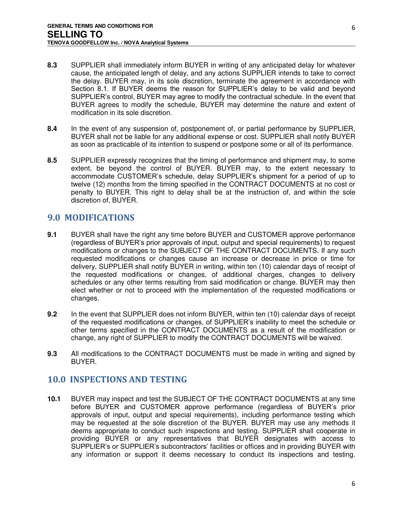- **8.3** SUPPLIER shall immediately inform BUYER in writing of any anticipated delay for whatever cause, the anticipated length of delay, and any actions SUPPLIER intends to take to correct the delay. BUYER may, in its sole discretion, terminate the agreement in accordance with Section 8.1. If BUYER deems the reason for SUPPLIER's delay to be valid and beyond SUPPLIER's control, BUYER may agree to modify the contractual schedule. In the event that BUYER agrees to modify the schedule, BUYER may determine the nature and extent of modification in its sole discretion.
- **8.4** In the event of any suspension of, postponement of, or partial performance by SUPPLIER, BUYER shall not be liable for any additional expense or cost. SUPPLIER shall notify BUYER as soon as practicable of its intention to suspend or postpone some or all of its performance.
- **8.5** SUPPLIER expressly recognizes that the timing of performance and shipment may, to some extent, be beyond the control of BUYER. BUYER may, to the extent necessary to accommodate CUSTOMER's schedule, delay SUPPLIER's shipment for a period of up to twelve (12) months from the timing specified in the CONTRACT DOCUMENTS at no cost or penalty to BUYER. This right to delay shall be at the instruction of, and within the sole discretion of, BUYER.

# <span id="page-5-0"></span>**9.0 MODIFICATIONS**

- **9.1** BUYER shall have the right any time before BUYER and CUSTOMER approve performance (regardless of BUYER's prior approvals of input, output and special requirements) to request modifications or changes to the SUBJECT OF THE CONTRACT DOCUMENTS. If any such requested modifications or changes cause an increase or decrease in price or time for delivery, SUPPLIER shall notify BUYER in writing, within ten (10) calendar days of receipt of the requested modifications or changes, of additional charges, changes to delivery schedules or any other terms resulting from said modification or change. BUYER may then elect whether or not to proceed with the implementation of the requested modifications or changes.
- **9.2** In the event that SUPPLIER does not inform BUYER, within ten (10) calendar days of receipt of the requested modifications or changes, of SUPPLIER's inability to meet the schedule or other terms specified in the CONTRACT DOCUMENTS as a result of the modification or change, any right of SUPPLIER to modify the CONTRACT DOCUMENTS will be waived.
- **9.3** All modifications to the CONTRACT DOCUMENTS must be made in writing and signed by BUYER.

# <span id="page-5-1"></span>**10.0 INSPECTIONS AND TESTING**

**10.1** BUYER may inspect and test the SUBJECT OF THE CONTRACT DOCUMENTS at any time before BUYER and CUSTOMER approve performance (regardless of BUYER's prior approvals of input, output and special requirements), including performance testing which may be requested at the sole discretion of the BUYER. BUYER may use any methods it deems appropriate to conduct such inspections and testing. SUPPLIER shall cooperate in providing BUYER or any representatives that BUYER designates with access to SUPPLIER's or SUPPLIER's subcontractors' facilities or offices and in providing BUYER with any information or support it deems necessary to conduct its inspections and testing.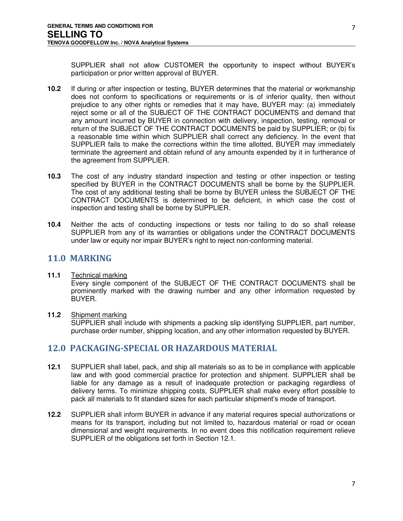SUPPLIER shall not allow CUSTOMER the opportunity to inspect without BUYER's participation or prior written approval of BUYER.

- **10.2** If during or after inspection or testing, BUYER determines that the material or workmanship does not conform to specifications or requirements or is of inferior quality, then without prejudice to any other rights or remedies that it may have, BUYER may: (a) immediately reject some or all of the SUBJECT OF THE CONTRACT DOCUMENTS and demand that any amount incurred by BUYER in connection with delivery, inspection, testing, removal or return of the SUBJECT OF THE CONTRACT DOCUMENTS be paid by SUPPLIER; or (b) fix a reasonable time within which SUPPLIER shall correct any deficiency. In the event that SUPPLIER fails to make the corrections within the time allotted, BUYER may immediately terminate the agreement and obtain refund of any amounts expended by it in furtherance of the agreement from SUPPLIER.
- **10.3** The cost of any industry standard inspection and testing or other inspection or testing specified by BUYER in the CONTRACT DOCUMENTS shall be borne by the SUPPLIER. The cost of any additional testing shall be borne by BUYER unless the SUBJECT OF THE CONTRACT DOCUMENTS is determined to be deficient, in which case the cost of inspection and testing shall be borne by SUPPLIER.
- **10.4** Neither the acts of conducting inspections or tests nor failing to do so shall release SUPPLIER from any of its warranties or obligations under the CONTRACT DOCUMENTS under law or equity nor impair BUYER's right to reject non-conforming material.

## <span id="page-6-0"></span>**11.0 MARKING**

#### **11.1** Technical marking

Every single component of the SUBJECT OF THE CONTRACT DOCUMENTS shall be prominently marked with the drawing number and any other information requested by BUYER.

#### **11.2** Shipment marking

SUPPLIER shall include with shipments a packing slip identifying SUPPLIER, part number, purchase order number, shipping location, and any other information requested by BUYER.

## <span id="page-6-1"></span>**12.0 PACKAGING-SPECIAL OR HAZARDOUS MATERIAL**

- **12.1** SUPPLIER shall label, pack, and ship all materials so as to be in compliance with applicable law and with good commercial practice for protection and shipment. SUPPLIER shall be liable for any damage as a result of inadequate protection or packaging regardless of delivery terms. To minimize shipping costs, SUPPLIER shall make every effort possible to pack all materials to fit standard sizes for each particular shipment's mode of transport.
- **12.2** SUPPLIER shall inform BUYER in advance if any material requires special authorizations or means for its transport, including but not limited to, hazardous material or road or ocean dimensional and weight requirements. In no event does this notification requirement relieve SUPPLIER of the obligations set forth in Section 12.1.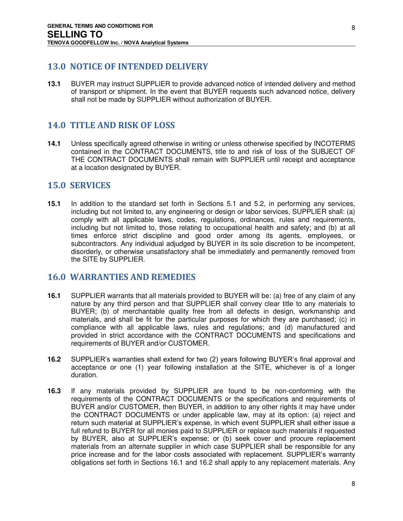# <span id="page-7-0"></span>**13.0 NOTICE OF INTENDED DELIVERY**

**13.1** BUYER may instruct SUPPLIER to provide advanced notice of intended delivery and method of transport or shipment. In the event that BUYER requests such advanced notice, delivery shall not be made by SUPPLIER without authorization of BUYER.

# <span id="page-7-1"></span>**14.0 TITLE AND RISK OF LOSS**

**14.1** Unless specifically agreed otherwise in writing or unless otherwise specified by INCOTERMS contained in the CONTRACT DOCUMENTS, title to and risk of loss of the SUBJECT OF THE CONTRACT DOCUMENTS shall remain with SUPPLIER until receipt and acceptance at a location designated by BUYER.

## <span id="page-7-2"></span>**15.0 SERVICES**

**15.1** In addition to the standard set forth in Sections 5.1 and 5.2, in performing any services, including but not limited to, any engineering or design or labor services, SUPPLIER shall: (a) comply with all applicable laws, codes, regulations, ordinances, rules and requirements, including but not limited to, those relating to occupational health and safety; and (b) at all times enforce strict discipline and good order among its agents, employees, or subcontractors. Any individual adjudged by BUYER in its sole discretion to be incompetent, disorderly, or otherwise unsatisfactory shall be immediately and permanently removed from the SITE by SUPPLIER.

# <span id="page-7-3"></span>**16.0 WARRANTIES AND REMEDIES**

- **16.1** SUPPLIER warrants that all materials provided to BUYER will be: (a) free of any claim of any nature by any third person and that SUPPLIER shall convey clear title to any materials to BUYER; (b) of merchantable quality free from all defects in design, workmanship and materials, and shall be fit for the particular purposes for which they are purchased; (c) in compliance with all applicable laws, rules and regulations; and (d) manufactured and provided in strict accordance with the CONTRACT DOCUMENTS and specifications and requirements of BUYER and/or CUSTOMER.
- **16.2** SUPPLIER's warranties shall extend for two (2) years following BUYER's final approval and acceptance or one (1) year following installation at the SITE, whichever is of a longer duration.
- **16.3** If any materials provided by SUPPLIER are found to be non-conforming with the requirements of the CONTRACT DOCUMENTS or the specifications and requirements of BUYER and/or CUSTOMER, then BUYER, in addition to any other rights it may have under the CONTRACT DOCUMENTS or under applicable law, may at its option: (a) reject and return such material at SUPPLIER's expense, in which event SUPPLIER shall either issue a full refund to BUYER for all monies paid to SUPPLIER or replace such materials if requested by BUYER, also at SUPPLIER's expense; or (b) seek cover and procure replacement materials from an alternate supplier in which case SUPPLIER shall be responsible for any price increase and for the labor costs associated with replacement. SUPPLIER's warranty obligations set forth in Sections 16.1 and 16.2 shall apply to any replacement materials. Any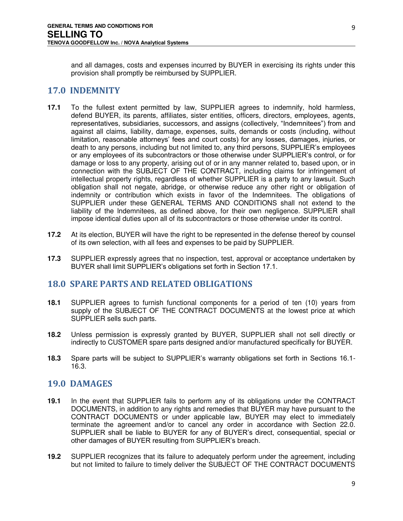and all damages, costs and expenses incurred by BUYER in exercising its rights under this provision shall promptly be reimbursed by SUPPLIER.

## <span id="page-8-0"></span>**17.0 INDEMNITY**

- **17.1** To the fullest extent permitted by law, SUPPLIER agrees to indemnify, hold harmless, defend BUYER, its parents, affiliates, sister entities, officers, directors, employees, agents, representatives, subsidiaries, successors, and assigns (collectively, "Indemnitees") from and against all claims, liability, damage, expenses, suits, demands or costs (including, without limitation, reasonable attorneys' fees and court costs) for any losses, damages, injuries, or death to any persons, including but not limited to, any third persons, SUPPLIER's employees or any employees of its subcontractors or those otherwise under SUPPLIER's control, or for damage or loss to any property, arising out of or in any manner related to, based upon, or in connection with the SUBJECT OF THE CONTRACT, including claims for infringement of intellectual property rights, regardless of whether SUPPLIER is a party to any lawsuit. Such obligation shall not negate, abridge, or otherwise reduce any other right or obligation of indemnity or contribution which exists in favor of the Indemnitees. The obligations of SUPPLIER under these GENERAL TERMS AND CONDITIONS shall not extend to the liability of the lndemnitees, as defined above, for their own negligence. SUPPLIER shall impose identical duties upon all of its subcontractors or those otherwise under its control.
- **17.2** At its election, BUYER will have the right to be represented in the defense thereof by counsel of its own selection, with all fees and expenses to be paid by SUPPLIER.
- **17.3** SUPPLIER expressly agrees that no inspection, test, approval or acceptance undertaken by BUYER shall limit SUPPLIER's obligations set forth in Section 17.1.

## <span id="page-8-1"></span>**18.0 SPARE PARTS AND RELATED OBLIGATIONS**

- **18.1** SUPPLIER agrees to furnish functional components for a period of ten (10) years from supply of the SUBJECT OF THE CONTRACT DOCUMENTS at the lowest price at which SUPPLIER sells such parts.
- **18.2** Unless permission is expressly granted by BUYER, SUPPLIER shall not sell directly or indirectly to CUSTOMER spare parts designed and/or manufactured specifically for BUYER.
- **18.3** Spare parts will be subject to SUPPLIER's warranty obligations set forth in Sections 16.1- 16.3.

## <span id="page-8-2"></span>**19.0 DAMAGES**

- **19.1** In the event that SUPPLIER fails to perform any of its obligations under the CONTRACT DOCUMENTS, in addition to any rights and remedies that BUYER may have pursuant to the CONTRACT DOCUMENTS or under applicable law, BUYER may elect to immediately terminate the agreement and/or to cancel any order in accordance with Section 22.0. SUPPLIER shall be liable to BUYER for any of BUYER's direct, consequential, special or other damages of BUYER resulting from SUPPLIER's breach.
- **19.2** SUPPLIER recognizes that its failure to adequately perform under the agreement, including but not limited to failure to timely deliver the SUBJECT OF THE CONTRACT DOCUMENTS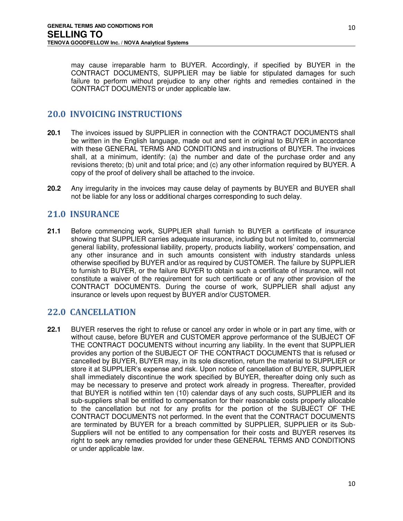may cause irreparable harm to BUYER. Accordingly, if specified by BUYER in the CONTRACT DOCUMENTS, SUPPLIER may be liable for stipulated damages for such failure to perform without prejudice to any other rights and remedies contained in the CONTRACT DOCUMENTS or under applicable law.

# <span id="page-9-0"></span>**20.0 INVOICING INSTRUCTIONS**

- **20.1** The invoices issued by SUPPLIER in connection with the CONTRACT DOCUMENTS shall be written in the English language, made out and sent in original to BUYER in accordance with these GENERAL TERMS AND CONDITIONS and instructions of BUYER. The invoices shall, at a minimum, identify: (a) the number and date of the purchase order and any revisions thereto; (b) unit and total price; and (c) any other information required by BUYER. A copy of the proof of delivery shall be attached to the invoice.
- **20.2** Any irregularity in the invoices may cause delay of payments by BUYER and BUYER shall not be liable for any loss or additional charges corresponding to such delay.

# <span id="page-9-1"></span>**21.0 INSURANCE**

**21.1** Before commencing work, SUPPLIER shall furnish to BUYER a certificate of insurance showing that SUPPLIER carries adequate insurance, including but not limited to, commercial general liability, professional liability, property, products liability, workers' compensation, and any other insurance and in such amounts consistent with industry standards unless otherwise specified by BUYER and/or as required by CUSTOMER. The failure by SUPPLIER to furnish to BUYER, or the failure BUYER to obtain such a certificate of insurance, will not constitute a waiver of the requirement for such certificate or of any other provision of the CONTRACT DOCUMENTS. During the course of work, SUPPLIER shall adjust any insurance or levels upon request by BUYER and/or CUSTOMER.

# <span id="page-9-2"></span>**22.0 CANCELLATION**

**22.1** BUYER reserves the right to refuse or cancel any order in whole or in part any time, with or without cause, before BUYER and CUSTOMER approve performance of the SUBJECT OF THE CONTRACT DOCUMENTS without incurring any liability. In the event that SUPPLIER provides any portion of the SUBJECT OF THE CONTRACT DOCUMENTS that is refused or cancelled by BUYER, BUYER may, in its sole discretion, return the material to SUPPLIER or store it at SUPPLIER's expense and risk. Upon notice of cancellation of BUYER, SUPPLIER shall immediately discontinue the work specified by BUYER, thereafter doing only such as may be necessary to preserve and protect work already in progress. Thereafter, provided that BUYER is notified within ten (10) calendar days of any such costs, SUPPLIER and its sub-suppliers shall be entitled to compensation for their reasonable costs properly allocable to the cancellation but not for any profits for the portion of the SUBJECT OF THE CONTRACT DOCUMENTS not performed. In the event that the CONTRACT DOCUMENTS are terminated by BUYER for a breach committed by SUPPLIER, SUPPLIER or its Sub-Suppliers will not be entitled to any compensation for their costs and BUYER reserves its right to seek any remedies provided for under these GENERAL TERMS AND CONDITIONS or under applicable law.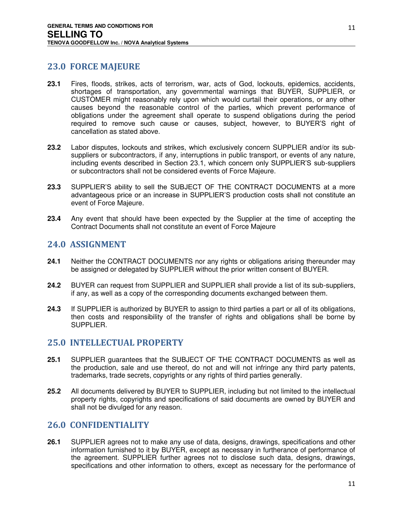# <span id="page-10-0"></span>**23.0 FORCE MAJEURE**

- **23.1** Fires, floods, strikes, acts of terrorism, war, acts of God, lockouts, epidemics, accidents, shortages of transportation, any governmental warnings that BUYER, SUPPLIER, or CUSTOMER might reasonably rely upon which would curtail their operations, or any other causes beyond the reasonable control of the parties, which prevent performance of obligations under the agreement shall operate to suspend obligations during the period required to remove such cause or causes, subject, however, to BUYER'S right of cancellation as stated above.
- **23.2** Labor disputes, lockouts and strikes, which exclusively concern SUPPLIER and/or its subsuppliers or subcontractors, if any, interruptions in public transport, or events of any nature, including events described in Section 23.1, which concern only SUPPLIER'S sub-suppliers or subcontractors shall not be considered events of Force Majeure.
- **23.3** SUPPLIER'S ability to sell the SUBJECT OF THE CONTRACT DOCUMENTS at a more advantageous price or an increase in SUPPLIER'S production costs shall not constitute an event of Force Majeure.
- **23.4** Any event that should have been expected by the Supplier at the time of accepting the Contract Documents shall not constitute an event of Force Majeure

## <span id="page-10-1"></span>**24.0 ASSIGNMENT**

- **24.1** Neither the CONTRACT DOCUMENTS nor any rights or obligations arising thereunder may be assigned or delegated by SUPPLIER without the prior written consent of BUYER.
- **24.2** BUYER can request from SUPPLIER and SUPPLIER shall provide a list of its sub-suppliers, if any, as well as a copy of the corresponding documents exchanged between them.
- **24.3** If SUPPLIER is authorized by BUYER to assign to third parties a part or all of its obligations, then costs and responsibility of the transfer of rights and obligations shall be borne by SUPPLIER.

## <span id="page-10-2"></span>**25.0 INTELLECTUAL PROPERTY**

- **25.1** SUPPLIER guarantees that the SUBJECT OF THE CONTRACT DOCUMENTS as well as the production, sale and use thereof, do not and will not infringe any third party patents, trademarks, trade secrets, copyrights or any rights of third parties generally.
- **25.2** All documents delivered by BUYER to SUPPLIER, including but not limited to the intellectual property rights, copyrights and specifications of said documents are owned by BUYER and shall not be divulged for any reason.

## <span id="page-10-3"></span>**26.0 CONFIDENTIALITY**

**26.1** SUPPLIER agrees not to make any use of data, designs, drawings, specifications and other information furnished to it by BUYER, except as necessary in furtherance of performance of the agreement. SUPPLIER further agrees not to disclose such data, designs, drawings, specifications and other information to others, except as necessary for the performance of